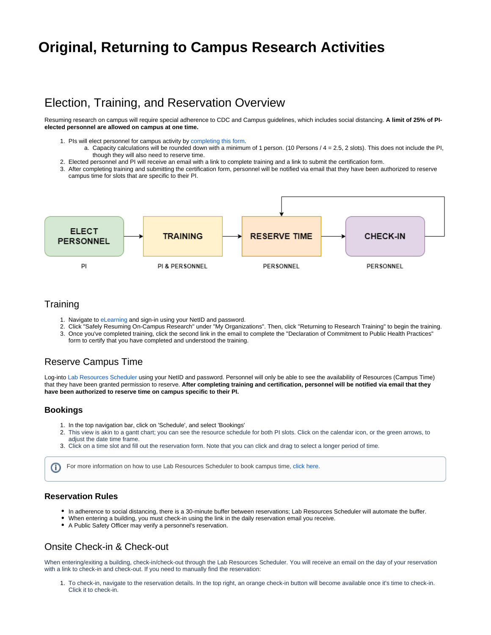# **Original, Returning to Campus Research Activities**

## Election, Training, and Reservation Overview

Resuming research on campus will require special adherence to CDC and Campus guidelines, which includes social distancing. **A limit of 25% of PIelected personnel are allowed on campus at one time.**

- 1. PIs will elect personnel for campus activity by [completing this form](https://redcap.utdallas.edu/surveys/?s=FHWNJC7HLE).
	- a. Capacity calculations will be rounded down with a minimum of 1 person. (10 Persons / 4 = 2.5, 2 slots). This does not include the PI, though they will also need to reserve time.
- 2. Elected personnel and PI will receive an email with a link to complete training and a link to submit the certification form.
- 3. After completing training and submitting the certification form, personnel will be notified via email that they have been authorized to reserve campus time for slots that are specific to their PI.



### **Training**

- 1. Navigate to [eLearning](https://elearning.utdallas.edu/) and sign-in using your NetID and password.
- 2. Click "Safely Resuming On-Campus Research" under "My Organizations". Then, click "Returning to Research Training" to begin the training. 3. Once you've completed training, click the second link in the email to complete the "Declaration of Commitment to Public Health Practices"
- form to certify that you have completed and understood the training.

### Reserve Campus Time

Log-into [Lab Resources Scheduler](https://labresources.utdallas.edu) using your NetID and password. Personnel will only be able to see the availability of Resources (Campus Time) that they have been granted permission to reserve. **After completing training and certification, personnel will be notified via email that they have been authorized to reserve time on campus specific to their PI.** 

#### **Bookings**

൘

- 1. In the top navigation bar, click on 'Schedule', and select 'Bookings'
- 2. This view is akin to a gantt chart; you can see the resource schedule for both PI slots. Click on the calendar icon, or the green arrows, to adiust the date time frame.
- 3. Click on a time slot and fill out the reservation form. Note that you can click and drag to select a longer period of time.

For more information on how to use Lab Resources Scheduler to book campus time, [click here](https://wiki.utdallas.edu/display/HOME/How+to+Reserve+Campus+Time).

### **Reservation Rules**

- In adherence to social distancing, there is a 30-minute buffer between reservations; Lab Resources Scheduler will automate the buffer.
- When entering a building, you must check-in using the link in the daily reservation email you receive.
- A Public Safety Officer may verify a personnel's reservation.

## Onsite Check-in & Check-out

When entering/exiting a building, check-in/check-out through the Lab Resources Scheduler. You will receive an email on the day of your reservation with a link to check-in and check-out. If you need to manually find the reservation:

1. To check-in, navigate to the reservation details. In the top right, an orange check-in button will become available once it's time to check-in. Click it to check-in.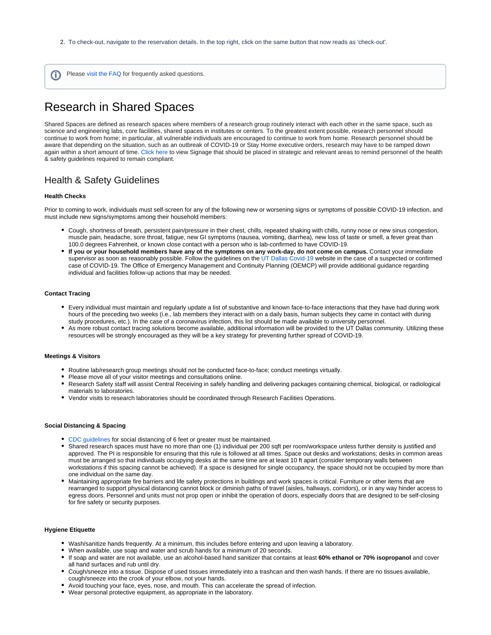- 2. To check-out, navigate to the reservation details. In the top right, click on the same button that now reads as 'check-out'.
- Please [visit the FAQ](https://wiki.utdallas.edu/display/HOME/Original%2C+Return+to+Research+FAQs) for frequently asked questions. O)

## Research in Shared Spaces

Shared Spaces are defined as research spaces where members of a research group routinely interact with each other in the same space, such as science and engineering labs, core facilities, shared spaces in institutes or centers. To the greatest extent possible, research personnel should continue to work from home; in particular, all vulnerable individuals are encouraged to continue to work from home. Research personnel should be aware that depending on the situation, such as an outbreak of COVID-19 or Stay Home executive orders, research may have to be ramped down again within a short amount of time. [Click here](https://utdallas.app.box.com/s/4kl13ojf8p25mbhvqav77ufy8e66arss) to view Signage that should be placed in strategic and relevant areas to remind personnel of the health & safety guidelines required to remain compliant.

### Health & Safety Guidelines

#### **Health Checks**

Prior to coming to work, individuals must self-screen for any of the following new or worsening signs or symptoms of possible COVID-19 infection, and must include new signs/symptoms among their household members:

- Cough, shortness of breath, persistent pain/pressure in their chest, chills, repeated shaking with chills, runny nose or new sinus congestion, muscle pain, headache, sore throat, fatigue, new GI symptoms (nausea, vomiting, diarrhea), new loss of taste or smell, a fever great than 100.0 degrees Fahrenheit, or known close contact with a person who is lab-confirmed to have COVID-19.
- **If you or your household members have any of the symptoms on any work-day, do not come on campus.** Contact your immediate supervisor as soon as reasonably possible. Follow the guidelines on the [UT Dallas Covid-19](https://utdallas.edu/coronavirus/faq/#faculty) website in the case of a suspected or confirmed case of COVID-19. The Office of Emergency Management and Continuity Planning (OEMCP) will provide additional guidance regarding individual and facilities follow-up actions that may be needed.

#### **Contact Tracing**

- Every individual must maintain and regularly update a list of substantive and known face-to-face interactions that they have had during work hours of the preceding two weeks (i.e., lab members they interact with on a daily basis, human subjects they came in contact with during study procedures, etc.). In the case of a coronavirus infection, this list should be made available to university personnel.
- As more robust contact tracing solutions become available, additional information will be provided to the UT Dallas community. Utilizing these resources will be strongly encouraged as they will be a key strategy for preventing further spread of COVID-19.

#### **Meetings & Visitors**

- Routine lab/research group meetings should not be conducted face-to-face; conduct meetings virtually.
- Please move all of your visitor meetings and consultations online.
- Research Safety staff will assist Central Receiving in safely handling and delivering packages containing chemical, biological, or radiological materials to laboratories.
- Vendor visits to research laboratories should be coordinated through Research Facilities Operations.

#### **Social Distancing & Spacing**

- [CDC guidelines](https://www.cdc.gov/coronavirus/2019-ncov/prevent-getting-sick/prevention.html) for social distancing of 6 feet or greater must be maintained.
- Shared research spaces must have no more than one (1) individual per 200 sqft per room/workspace unless further density is justified and approved. The PI is responsible for ensuring that this rule is followed at all times. Space out desks and workstations; desks in common areas must be arranged so that individuals occupying desks at the same time are at least 10 ft apart (consider temporary walls between workstations if this spacing cannot be achieved). If a space is designed for single occupancy, the space should not be occupied by more than one individual on the same day.
- Maintaining appropriate fire barriers and life safety protections in buildings and work spaces is critical. Furniture or other items that are rearranged to support physical distancing cannot block or diminish paths of travel (aisles, hallways, corridors), or in any way hinder access to egress doors. Personnel and units must not prop open or inhibit the operation of doors, especially doors that are designed to be self-closing for fire safety or security purposes.

#### **Hygiene Etiquette**

- Wash/sanitize hands frequently. At a minimum, this includes before entering and upon leaving a laboratory.
- When available, use soap and water and scrub hands for a minimum of 20 seconds.
- If soap and water are not available, use an alcohol-based hand sanitizer that contains at least **60% ethanol or 70% isopropanol** and cover all hand surfaces and rub until dry.
- Cough/sneeze into a tissue. Dispose of used tissues immediately into a trashcan and then wash hands. If there are no tissues available, cough/sneeze into the crook of your elbow, not your hands.
- Avoid touching your face, eyes, nose, and mouth. This can accelerate the spread of infection.
- Wear personal protective equipment, as appropriate in the laboratory.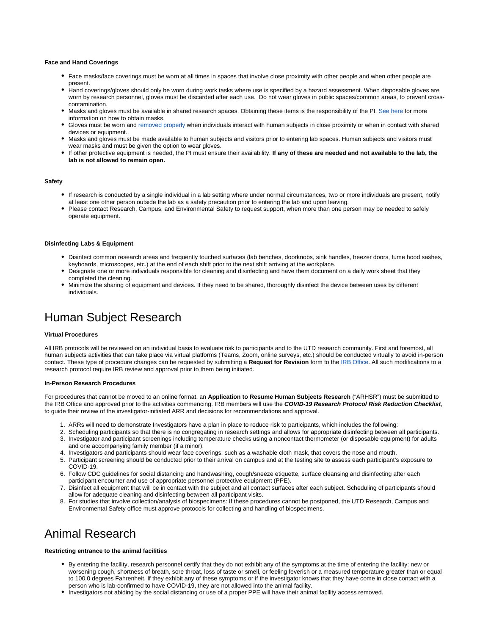#### **Face and Hand Coverings**

- Face masks/face coverings must be worn at all times in spaces that involve close proximity with other people and when other people are present.
- Hand coverings/gloves should only be worn during work tasks where use is specified by a hazard assessment. When disposable gloves are worn by research personnel, gloves must be discarded after each use. Do not wear gloves in public spaces/common areas, to prevent crosscontamination.
- Masks and gloves must be available in shared research spaces. Obtaining these items is the responsibility of the PI. [See here](https://utdallas.edu/oit/cloth-face-covering-distribution/#request-a-cloth-face-covering) for more information on how to obtain masks.
- Gloves must be worn and [removed properly](https://www.cdc.gov/vhf/ebola/pdf/poster-how-to-remove-gloves.pdf) when individuals interact with human subjects in close proximity or when in contact with shared devices or equipment.
- Masks and gloves must be made available to human subjects and visitors prior to entering lab spaces. Human subjects and visitors must wear masks and must be given the option to wear gloves.
- If other protective equipment is needed, the PI must ensure their availability. **If any of these are needed and not available to the lab, the lab is not allowed to remain open.**

#### **Safety**

- If research is conducted by a single individual in a lab setting where under normal circumstances, two or more individuals are present, notify at least one other person outside the lab as a safety precaution prior to entering the lab and upon leaving.
- Please contact Research, Campus, and Environmental Safety to request support, when more than one person may be needed to safely operate equipment.

#### **Disinfecting Labs & Equipment**

- Disinfect common research areas and frequently touched surfaces (lab benches, doorknobs, sink handles, freezer doors, fume hood sashes, keyboards, microscopes, etc.) at the end of each shift prior to the next shift arriving at the workplace.
- Designate one or more individuals responsible for cleaning and disinfecting and have them document on a daily work sheet that they completed the cleaning.
- Minimize the sharing of equipment and devices. If they need to be shared, thoroughly disinfect the device between uses by different individuals.

## Human Subject Research

#### **Virtual Procedures**

All IRB protocols will be reviewed on an individual basis to evaluate risk to participants and to the UTD research community. First and foremost, all human subjects activities that can take place via virtual platforms (Teams, Zoom, online surveys, etc.) should be conducted virtually to avoid in-person contact. These type of procedure changes can be requested by submitting a **Request for Revision** form to the [IRB Office.](mailto:irb@utdallas.edu) All such modifications to a research protocol require IRB review and approval prior to them being initiated.

#### **In-Person Research Procedures**

For procedures that cannot be moved to an online format, an **Application to Resume Human Subjects Research** ("ARHSR") must be submitted to the IRB Office and approved prior to the activities commencing. IRB members will use the **COVID-19 Research Protocol Risk Reduction Checklist**, to guide their review of the investigator-initiated ARR and decisions for recommendations and approval.

- 1. ARRs will need to demonstrate Investigators have a plan in place to reduce risk to participants, which includes the following:
- 2. Scheduling participants so that there is no congregating in research settings and allows for appropriate disinfecting between all participants. 3. Investigator and participant screenings including temperature checks using a noncontact thermometer (or disposable equipment) for adults and one accompanying family member (if a minor).
- 4. Investigators and participants should wear face coverings, such as a washable cloth mask, that covers the nose and mouth.
- 5. Participant screening should be conducted prior to their arrival on campus and at the testing site to assess each participant's exposure to COVID-19.
- 6. Follow [CDC guidelines](https://www.cdc.gov/coronavirus/2019-ncov/prevent-getting-sick/prevention.html?CDC_AA_refVal=https%3A%2F%2Fwww.cdc.gov%2Fcoronavirus%2F2019-ncov%2Fprepare%2Fprevention.html) for social distancing and handwashing, cough/sneeze etiquette, surface cleansing and disinfecting after each participant encounter and use of appropriate personnel protective equipment (PPE).
- 7. Disinfect all equipment that will be in contact with the subject and all contact surfaces after each subject. Scheduling of participants should allow for adequate cleaning and disinfecting between all participant visits.
- 8. For studies that involve collection/analysis of biospecimens: If these procedures cannot be postponed, the UTD Research, Campus and Environmental Safety office must approve protocols for collecting and handling of biospecimens.

## Animal Research

#### **Restricting entrance to the animal facilities**

- By entering the facility, research personnel certify that they do not exhibit any of the symptoms at the time of entering the facility: new or worsening cough, shortness of breath, sore throat, loss of taste or smell, or feeling feverish or a measured temperature greater than or equal to 100.0 degrees Fahrenheit. If they exhibit any of these symptoms or if the investigator knows that they have come in close contact with a person who is lab-confirmed to have COVID-19, they are not allowed into the animal facility.
- Investigators not abiding by the social distancing or use of a proper PPE will have their animal facility access removed.